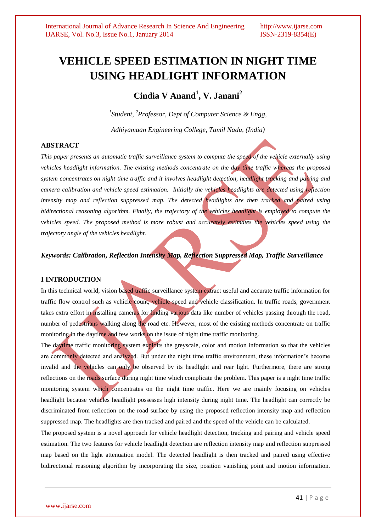# **VEHICLE SPEED ESTIMATION IN NIGHT TIME USING HEADLIGHT INFORMATION**

**Cindia V Anand<sup>1</sup> , V. Janani<sup>2</sup>**

*1 Student, <sup>2</sup>Professor, Dept of Computer Science & Engg,* 

*Adhiyamaan Engineering College, Tamil Nadu, (India)*

# **ABSTRACT**

*This paper presents an automatic traffic surveillance system to compute the speed of the vehicle externally using vehicles headlight information. The existing methods concentrate on the day time traffic whereas the proposed system concentrates on night time traffic and it involves headlight detection, headlight tracking and pairing and camera calibration and vehicle speed estimation. Initially the vehicles headlights are detected using reflection intensity map and reflection suppressed map. The detected headlights are then tracked and paired using bidirectional reasoning algorithm. Finally, the trajectory of the vehicles headlight is employed to compute the vehicles speed. The proposed method is more robust and accurately estimates the vehicles speed using the trajectory angle of the vehicles headlight.*

*Keywords: Calibration, Reflection Intensity Map, Reflection Suppressed Map, Traffic Surveillance*

# **I INTRODUCTION**

In this technical world, vision based traffic surveillance system extract useful and accurate traffic information for traffic flow control such as vehicle count, vehicle speed and vehicle classification. In traffic roads, government takes extra effort in installing cameras for finding various data like number of vehicles passing through the road, number of pedestrians walking along the road etc. However, most of the existing methods concentrate on traffic monitoring in the daytime and few works on the issue of night time traffic monitoring.

The daytime traffic monitoring system exploits the greyscale, color and motion information so that the vehicles are commonly detected and analyzed. But under the night time traffic environment, these information's become invalid and the vehicles can only be observed by its headlight and rear light. Furthermore, there are strong reflections on the roads surface during night time which complicate the problem. This paper is a night time traffic monitoring system which concentrates on the night time traffic. Here we are mainly focusing on vehicles headlight because vehicles headlight possesses high intensity during night time. The headlight can correctly be discriminated from reflection on the road surface by using the proposed reflection intensity map and reflection suppressed map. The headlights are then tracked and paired and the speed of the vehicle can be calculated.

The proposed system is a novel approach for vehicle headlight detection, tracking and pairing and vehicle speed estimation. The two features for vehicle headlight detection are reflection intensity map and reflection suppressed map based on the light attenuation model. The detected headlight is then tracked and paired using effective bidirectional reasoning algorithm by incorporating the size, position vanishing point and motion information.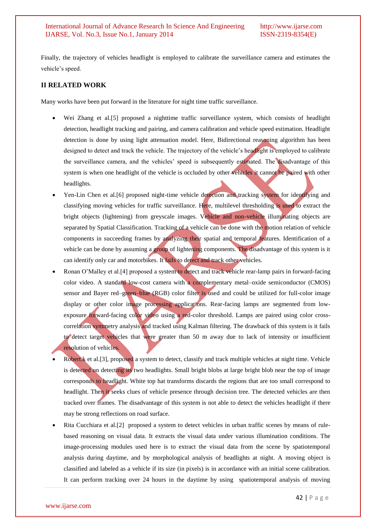Finally, the trajectory of vehicles headlight is employed to calibrate the surveillance camera and estimates the vehicle's speed.

## **II RELATED WORK**

Many works have been put forward in the literature for night time traffic surveillance.

- Wei Zhang et al.[5] proposed a nighttime traffic surveillance system, which consists of headlight detection, headlight tracking and pairing, and camera calibration and vehicle speed estimation. Headlight detection is done by using light attenuation model. Here, Bidirectional reasoning algorithm has been designed to detect and track the vehicle. The trajectory of the vehicle's headlight is employed to calibrate the surveillance camera, and the vehicles' speed is subsequently estimated. The disadvantage of this system is when one headlight of the vehicle is occluded by other vehicles it cannot be paired with other headlights.
- Yen-Lin Chen et al.[6] proposed night-time vehicle detection and tracking system for identifying and classifying moving vehicles for traffic surveillance. Here, multilevel thresholding is used to extract the bright objects (lightening) from greyscale images. Vehicle and non-vehicle illuminating objects are separated by Spatial Classification. Tracking of a vehicle can be done with the motion relation of vehicle components in succeeding frames by analyzing their spatial and temporal features. Identification of a vehicle can be done by assuming a group of lightening components. The disadvantage of this system is it can identify only car and motorbikes. It fails to detect and track other vehicles.
- Ronan O'Malley et al.[4] proposed a system to detect and track vehicle rear-lamp pairs in forward-facing color video. A standard low-cost camera with a complementary metal-oxide semiconductor (CMOS) sensor and Bayer red–green–blue (RGB) color filter is used and could be utilized for full-color image display or other color image processing applications. Rear-facing lamps are segmented from lowexposure forward-facing color video using a red-color threshold. Lamps are paired using color crosscorrelation symmetry analysis and tracked using Kalman filtering. The drawback of this system is it fails to detect target vehicles that were greater than 50 m away due to lack of intensity or insufficient resolution of vehicles.
- Robert.k et al.[3], proposed a system to detect, classify and track multiple vehicles at night time. Vehicle is detected on detecting its two headlights. Small bright blobs at large bright blob near the top of image corresponds to headlight. White top hat transforms discards the regions that are too small correspond to headlight. Then it seeks clues of vehicle presence through decision tree. The detected vehicles are then tracked over frames. The disadvantage of this system is not able to detect the vehicles headlight if there may be strong reflections on road surface.
- Rita Cucchiara et al.[2] proposed a system to detect vehicles in urban traffic scenes by means of rulebased reasoning on visual data. It extracts the visual data under various illumination conditions. The image-processing modules used here is to extract the visual data from the scene by spatiotemporal analysis during daytime, and by morphological analysis of headlights at night. A moving object is classified and labeled as a vehicle if its size (in pixels) is in accordance with an initial scene calibration. It can perform tracking over 24 hours in the daytime by using spatiotemporal analysis of moving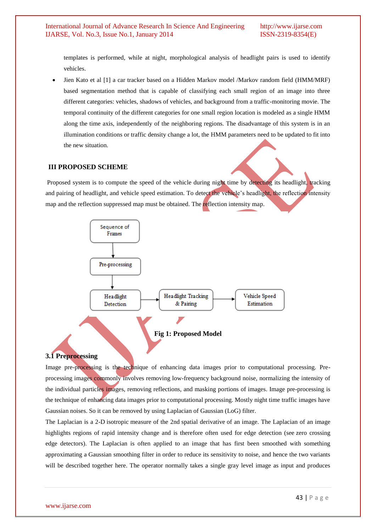templates is performed, while at night, morphological analysis of headlight pairs is used to identify vehicles.

 Jien Kato et al [1] a car tracker based on a Hidden Markov model /Markov random field (HMM/MRF) based segmentation method that is capable of classifying each small region of an image into three different categories: vehicles, shadows of vehicles, and background from a traffic-monitoring movie. The temporal continuity of the different categories for one small region location is modeled as a single HMM along the time axis, independently of the neighboring regions. The disadvantage of this system is in an illumination conditions or traffic density change a lot, the HMM parameters need to be updated to fit into the new situation.

### **III PROPOSED SCHEME**

Proposed system is to compute the speed of the vehicle during night time by detecting its headlight, tracking and pairing of headlight, and vehicle speed estimation. To detect the vehicle's headlight, the reflection intensity map and the reflection suppressed map must be obtained. The reflection intensity map.



# **3.1 Preprocessing**

Image pre-processing is the technique of enhancing data images prior to computational processing. Preprocessing images commonly involves removing low-frequency background noise, normalizing the intensity of the individual particles images, removing reflections, and masking portions of images. Image pre-processing is the technique of enhancing data images prior to computational processing. Mostly night time traffic images have Gaussian noises. So it can be removed by using Laplacian of Gaussian (LoG) filter.

The Laplacian is a 2-D [isotropic](http://homepages.inf.ed.ac.uk/rbf/HIPR2/isotrop.htm) measure of the 2nd [spatial derivative](http://homepages.inf.ed.ac.uk/rbf/HIPR2/spatdom.htm) of an image. The Laplacian of an image highlights regions of rapid intensity change and is therefore often used for edge detection (see [zero crossing](http://homepages.inf.ed.ac.uk/rbf/HIPR2/zeros.htm)  [edge detectors\)](http://homepages.inf.ed.ac.uk/rbf/HIPR2/zeros.htm). The Laplacian is often applied to an image that has first been smoothed with something approximating a [Gaussian smoothing filter](http://homepages.inf.ed.ac.uk/rbf/HIPR2/gsmooth.htm) in order to reduce its sensitivity to noise, and hence the two variants will be described together here. The operator normally takes a single gray level image as input and produces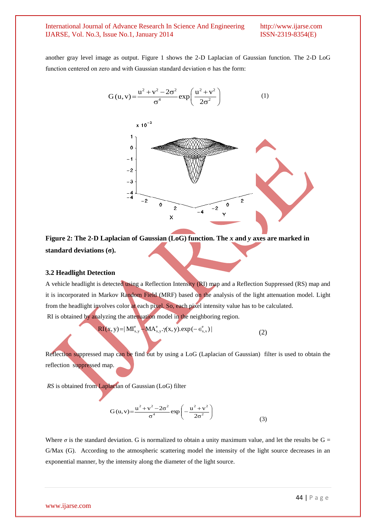another gray level image as output. Figure 1 shows the 2-D Laplacian of Gaussian function. The 2-D LoG function centered on zero and with Gaussian standard deviation  $\sigma$  has the form:

$$
G(u, v) = \frac{u^2 + v^2 - 2\sigma^2}{\sigma^4} \exp\left(\frac{u^2 + v^2}{2\sigma^2}\right)
$$
 (1)



**Figure 2: The 2-D Laplacian of Gaussian (LoG) function. The** *x* **and** *y* **axes are marked in standard deviations (σ).**

#### **3.2 Headlight Detection**

A vehicle headlight is detected using a Reflection Intensity (RI) map and a Reflection Suppressed (RS) map and it is incorporated in Markov Random Field (MRF) based on the analysis of the light attenuation model. Light from the headlight involves color at each pixel. So, each pixel intensity value has to be calculated.

RI is obtained by analyzing the attention model in the neighboring region.  
\n
$$
RI(x, y) = |MI_{x,y}^{e} - MA_{x,y}^{e} \cdot \gamma(x, y). \exp(-\epsilon_{x,y}^{e})|
$$
\n(2)

Reflection suppressed map can be find out by using a LoG (Laplacian of Gaussian) filter is used to obtain the reflection suppressed map.

*RS* is obtained from Laplacian of Gaussian (LoG) filter

$$
G(u, v) = \frac{u^2 + v^2 - 2\sigma^2}{\sigma^4} \exp\left(-\frac{u^2 + v^2}{2\sigma^2}\right)
$$
(3)

Where  $\sigma$  is the standard deviation. G is normalized to obtain a unity maximum value, and let the results be  $G =$ G/Max (G). According to the atmospheric scattering model the intensity of the light source decreases in an exponential manner, by the intensity along the diameter of the light source.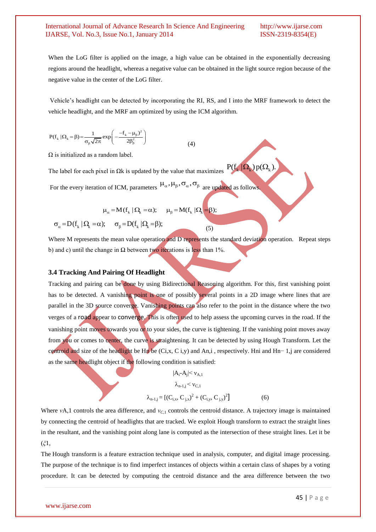When the LoG filter is applied on the image, a high value can be obtained in the exponentially decreasing regions around the headlight, whereas a negative value can be obtained in the light source region because of the negative value in the center of the LoG filter.

Vehicle's headlight can be detected by incorporating the RI, RS, and I into the MRF framework to detect the vehicle headlight, and the MRF am optimized by using the ICM algorithm.

$$
P(f_k | \Omega_k = \beta) = \frac{1}{\sigma_\beta \sqrt{2\pi}} exp\left(-\frac{-f_k - \mu_\beta)^2}{2\beta_\beta^2}\right)
$$
(4)

 $\Omega$  is initialized as a random label.

The label for each pixel in  $\Omega$ k is updated by the value that maximizes  $P(f_k|\Omega_k)p(\Omega_k)$ .

For the every iteration of ICM, parameters  $\mu_{\alpha}, \mu_{\beta}, \sigma_{\alpha}, \sigma_{\beta}$  are updated as follows.

$$
\mu_{\alpha} = M(f_k \mid \Omega_k = \alpha); \qquad \mu_{\beta} = M(f_k \mid \Omega_k = \beta);
$$

 $\sigma_{\alpha} = D(f_k | \Omega_k = \alpha); \quad \sigma_{\beta} = D(f_k | \Omega_k = \beta);$ 

Where M represents the mean value operation and D represents the standard deviation operation. Repeat steps b) and c) until the change in  $\Omega$  between two iterations is less than 1%.

(5)

### **3.4 Tracking And Pairing Of Headlight**

Tracking and pairing can be done by using Bidirectional Reasoning algorithm. For this, first vanishing point has to be detected. A vanishing point is one of possibly several points in a 2D image where lines that are parallel in the 3D source converge. Vanishing points can also refer to the point in the distance where the two verges of a [road](http://en.wikipedia.org/wiki/Road) appear to [converge](http://en.wiktionary.org/wiki/Converge). This is often used to help assess the upcoming curves in the road. If the vanishing point moves towards you or to your sides, the curve is tightening. If the vanishing point moves away from you or comes to center, the curve is straightening. It can be detected by using Hough Transform. Let the centroid and size of the headlight be Hn be (Ci,x, C i,y) and An,i , respectively. Hni and Hn− 1,j are considered as the same headlight object if the following condition is satisfied:

$$
|A_{i} - A_{j}| < v_{A,1}
$$
  

$$
\lambda_{n-1,j} < v_{C,1}
$$
  

$$
\lambda_{n-1,j} = [ (C_{i,x}, C_{j,x})^{2} + (C_{i,y}, C_{j,y})^{2} ]
$$
 (6)

Where *ν*A,1 controls the area difference, and *νC,*<sup>1</sup> controls the centroid distance. A trajectory image is maintained by connecting the centroid of headlights that are tracked. We exploit Hough transform to extract the straight lines in the resultant, and the vanishing point along lane is computed as the intersection of these straight lines. Let it be (*ξ*1*,*

The Hough transform is a [feature extraction](http://en.wikipedia.org/wiki/Feature_extraction) technique used in analysis, computer, and [digital image](http://en.wikipedia.org/wiki/Digital_image_processing) processing. The purpose of the technique is to find imperfect instances of objects within a certain class of shapes by a voting procedure. It can be detected by computing the centroid distance and the area difference between the two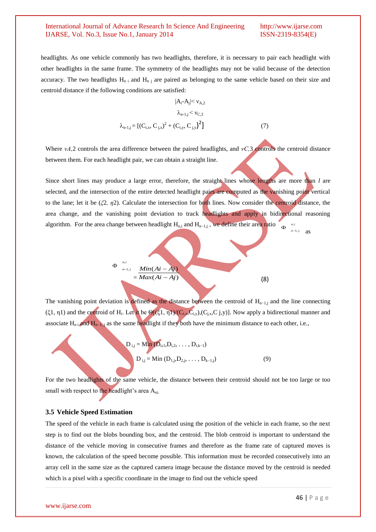headlights. As one vehicle commonly has two headlights, therefore, it is necessary to pair each headlight with other headlights in the same frame. The symmetry of the headlights may not be valid because of the detection accuracy. The two headlights  $H_{n,i}$  and  $H_{n,i}$  are paired as belonging to the same vehicle based on their size and centroid distance if the following conditions are satisfied:

$$
|A_{i} - A_{j}| < v_{A,2}
$$
\n
$$
\lambda_{n-1,j} < v_{C,3}
$$
\n
$$
\lambda_{n-1,j} = \left[ (C_{i,x}, C_{j,x})^{2} + (C_{i,y}, C_{j,y})^{2} \right]
$$
\n(7)

Where *νA,*2 controls the area difference between the paired headlights, and *νC,*3 controls the centroid distance between them. For each headlight pair, we can obtain a straight line.

Since short lines may produce a large error, therefore, the straight lines whose lengths are more than *l* are selected, and the intersection of the entire detected headlight pairs are computed as the vanishing point vertical to the lane; let it be  $(\xi_2, \eta_2)$ . Calculate the intersection for both lines. Now consider the centroid distance, the area change, and the vanishing point deviation to track headlights and apply in bidirectional reasoning algorithm. For the area change between headlight  $H_{n,i}$  and  $H_{n-1,i}$ , we define their area ratio *n i*  $n-1, j$ ,  $-1,$ Ф as



The vanishing point deviation is defined as the distance between the centroid of  $H_{n-1,j}$  and the line connecting (ξ1, η1) and the centroid of H<sub>i</sub>. Let it be  $\Theta[(\xi_1, \eta_1)/(\mathbf{C}_{i,x}, \mathbf{C}_{i,y}), (\mathbf{C}_{j,x}, \mathbf{C}_{j,y})]$ . Now apply a bidirectional manner and associate  $H_{n,i}$  and  $H_{n-1,i}$  as the same headlight if they both have the minimum distance to each other, i.e.,

$$
D_{i,j} = Min (D_{i,1}, D_{i,2}, ..., D_{i,k-1})
$$
  

$$
D_{i,j} = Min (D_{1,j}, D_{2,j}, ..., D_{k-1,j})
$$
 (9)

For the two headlights of the same vehicle, the distance between their centroid should not be too large or too small with respect to the headlight's area A<sub>ni</sub>.

### **3.5 Vehicle Speed Estimation**

The speed of the vehicle in each frame is calculated using the position of the vehicle in each frame, so the next step is to find out the blobs bounding box, and the centroid. The blob centroid is important to understand the distance of the vehicle moving in consecutive frames and therefore as the frame rate of captured moves is known, the calculation of the speed become possible. This information must be recorded consecutively into an array cell in the same size as the captured camera image because the distance moved by the centroid is needed which is a pixel with a specific coordinate in the image to find out the vehicle speed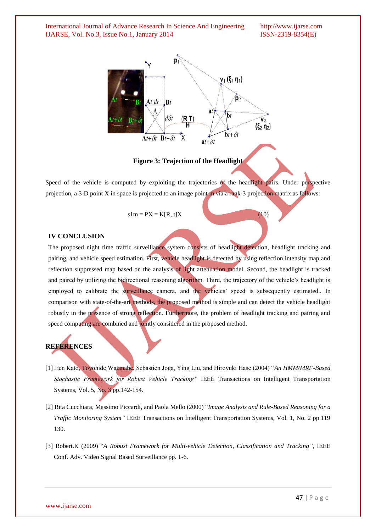

**Figure 3: Trajection of the Headlight**

Speed of the vehicle is computed by exploiting the trajectories of the headlight pairs. Under perspective projection, a 3-D point X in space is projected to an image point m via a rank-3 projection matrix as follows:

 $s1m = PX = K(R, t)X$  (10)

#### **IV CONCLUSION**

The proposed night time traffic surveillance system consists of headlight detection, headlight tracking and pairing, and vehicle speed estimation. First, vehicle headlight is detected by using reflection intensity map and reflection suppressed map based on the analysis of light attenuation model. Second, the headlight is tracked and paired by utilizing the bidirectional reasoning algorithm. Third, the trajectory of the vehicle's headlight is employed to calibrate the surveillance camera, and the vehicles' speed is subsequently estimated.. In comparison with state-of-the-art methods, the proposed method is simple and can detect the vehicle headlight robustly in the presence of strong reflection. Furthermore, the problem of headlight tracking and pairing and speed computing are combined and jointly considered in the proposed method.

# **REFERENCES**

- [1] Jien Kato, Toyohide Watanabe, Sébastien Joga, Ying Liu, and Hiroyuki Hase (2004) "*An HMM/MRF-Based Stochastic Framework for Robust Vehicle Tracking"* IEEE Transactions on Intelligent Transportation Systems, Vol. 5, No. 3 pp.142-154.
- [2] Rita Cucchiara*,* Massimo Piccardi*,* and Paola Mello (2000) "*Image Analysis and Rule-Based Reasoning for a Traffic Monitoring System"* IEEE Transactions on Intelligent Transportation Systems, Vol. 1, No. 2 pp.119 130.
- [3] Robert.K (2009) "*A Robust Framework for Multi-vehicle Detection, Classification and Tracking",* IEEE Conf. Adv. Video Signal Based Surveillance pp. 1-6.